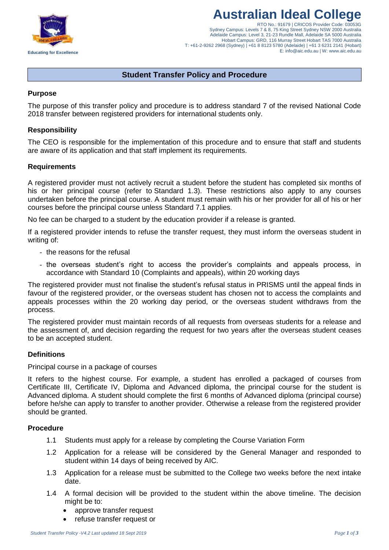

# **Australian Ideal College**

RTO No.: 91679 | CRICOS Provider Code: 03053G Sydney Campus: Levels 7 & 8, 75 King Street Sydney NSW 2000 Australia Adelaide Campus: Level 3, 21-23 Rundle Mall, Adelaide SA 5000 Australia Hobart Campus: GRD, 116 Murray Street Hobart TAS 7000 Australia T: +61-2-9262 2968 (Sydney) | +61 8 8123 5780 (Adelaide) | +61 3 6231 2141 (Hobart) E: info@aic.edu.au | W: www.aic.edu.au

# **Student Transfer Policy and Procedure**

## **Purpose**

The purpose of this transfer policy and procedure is to address standard 7 of the revised National Code 2018 transfer between registered providers for international students only.

## **Responsibility**

The CEO is responsible for the implementation of this procedure and to ensure that staff and students are aware of its application and that staff implement its requirements.

### **Requirements**

A registered provider must not actively recruit a student before the student has completed six months of his or her principal course (refer to Standard 1.3). These restrictions also apply to any courses undertaken before the principal course. A student must remain with his or her provider for all of his or her courses before the principal course unless Standard 7.1 applies.

No fee can be charged to a student by the education provider if a release is granted.

If a registered provider intends to refuse the transfer request, they must inform the overseas student in writing of:

- the reasons for the refusal
- the overseas student's right to access the provider's complaints and appeals process, in accordance with Standard 10 (Complaints and appeals), within 20 working days

The registered provider must not finalise the student's refusal status in PRISMS until the appeal finds in favour of the registered provider, or the overseas student has chosen not to access the complaints and appeals processes within the 20 working day period, or the overseas student withdraws from the process.

The registered provider must maintain records of all requests from overseas students for a release and the assessment of, and decision regarding the request for two years after the overseas student ceases to be an accepted student.

## **Definitions**

### Principal course in a package of courses

It refers to the highest course. For example, a student has enrolled a packaged of courses from Certificate III, Certificate IV, Diploma and Advanced diploma, the principal course for the student is Advanced diploma. A student should complete the first 6 months of Advanced diploma (principal course) before he/she can apply to transfer to another provider. Otherwise a release from the registered provider should be granted.

### **Procedure**

- 1.1 Students must apply for a release by completing the Course Variation Form
- 1.2 Application for a release will be considered by the General Manager and responded to student within 14 days of being received by AIC.
- 1.3 Application for a release must be submitted to the College two weeks before the next intake date.
- 1.4 A formal decision will be provided to the student within the above timeline. The decision might be to:
	- approve transfer request
	- refuse transfer request or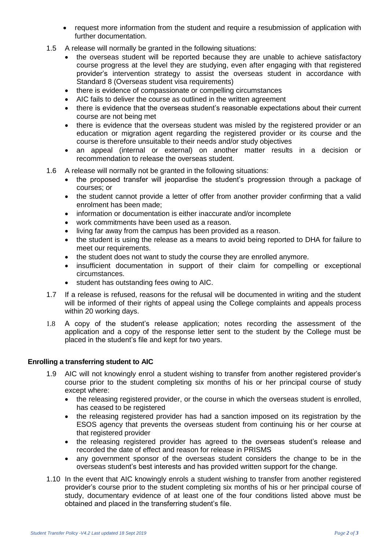- request more information from the student and require a resubmission of application with further documentation.
- 1.5 A release will normally be granted in the following situations:
	- the overseas student will be reported because they are unable to achieve satisfactory course progress at the level they are studying, even after engaging with that registered provider's intervention strategy to assist the overseas student in accordance with Standard 8 (Overseas student visa requirements)
	- there is evidence of compassionate or compelling circumstances
	- AIC fails to deliver the course as outlined in the written agreement
	- there is evidence that the overseas student's reasonable expectations about their current course are not being met
	- there is evidence that the overseas student was misled by the registered provider or an education or migration agent regarding the registered provider or its course and the course is therefore unsuitable to their needs and/or study objectives
	- an appeal (internal or external) on another matter results in a decision or recommendation to release the overseas student.
- 1.6 A release will normally not be granted in the following situations:
	- the proposed transfer will jeopardise the student's progression through a package of courses; or
	- the student cannot provide a letter of offer from another provider confirming that a valid enrolment has been made;
	- information or documentation is either inaccurate and/or incomplete
	- work commitments have been used as a reason.
	- living far away from the campus has been provided as a reason.
	- the student is using the release as a means to avoid being reported to DHA for failure to meet our requirements.
	- the student does not want to study the course they are enrolled anymore.
	- insufficient documentation in support of their claim for compelling or exceptional circumstances.
	- student has outstanding fees owing to AIC.
- 1.7 If a release is refused, reasons for the refusal will be documented in writing and the student will be informed of their rights of appeal using the College complaints and appeals process within 20 working days.
- 1.8 A copy of the student's release application; notes recording the assessment of the application and a copy of the response letter sent to the student by the College must be placed in the student's file and kept for two years.

## **Enrolling a transferring student to AIC**

- 1.9 AIC will not knowingly enrol a student wishing to transfer from another registered provider's course prior to the student completing six months of his or her principal course of study except where:
	- the releasing registered provider, or the course in which the overseas student is enrolled, has ceased to be registered
	- the releasing registered provider has had a sanction imposed on its registration by the ESOS agency that prevents the overseas student from continuing his or her course at that registered provider
	- the releasing registered provider has agreed to the overseas student's release and recorded the date of effect and reason for release in PRISMS
	- any government sponsor of the overseas student considers the change to be in the overseas student's best interests and has provided written support for the change.
- 1.10 In the event that AIC knowingly enrols a student wishing to transfer from another registered provider's course prior to the student completing six months of his or her principal course of study, documentary evidence of at least one of the four conditions listed above must be obtained and placed in the transferring student's file.